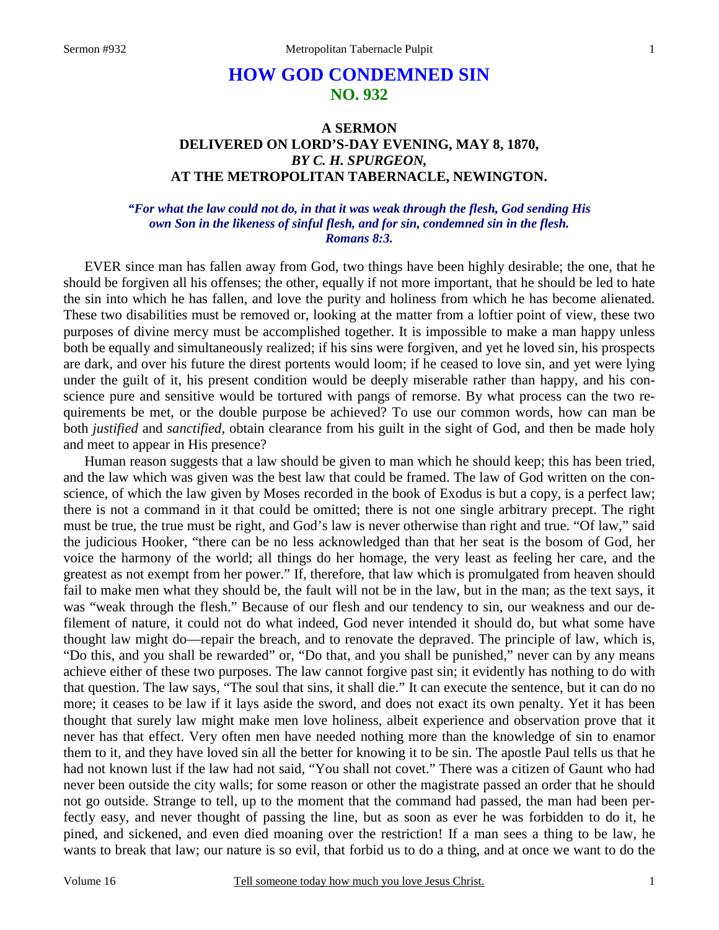# **HOW GOD CONDEMNED SIN NO. 932**

# **A SERMON DELIVERED ON LORD'S-DAY EVENING, MAY 8, 1870,**  *BY C. H. SPURGEON,*  **AT THE METROPOLITAN TABERNACLE, NEWINGTON.**

### *"For what the law could not do, in that it was weak through the flesh, God sending His own Son in the likeness of sinful flesh, and for sin, condemned sin in the flesh. Romans 8:3.*

EVER since man has fallen away from God, two things have been highly desirable; the one, that he should be forgiven all his offenses; the other, equally if not more important, that he should be led to hate the sin into which he has fallen, and love the purity and holiness from which he has become alienated. These two disabilities must be removed or, looking at the matter from a loftier point of view, these two purposes of divine mercy must be accomplished together. It is impossible to make a man happy unless both be equally and simultaneously realized; if his sins were forgiven, and yet he loved sin, his prospects are dark, and over his future the direst portents would loom; if he ceased to love sin, and yet were lying under the guilt of it, his present condition would be deeply miserable rather than happy, and his conscience pure and sensitive would be tortured with pangs of remorse. By what process can the two requirements be met, or the double purpose be achieved? To use our common words, how can man be both *justified* and *sanctified*, obtain clearance from his guilt in the sight of God, and then be made holy and meet to appear in His presence?

Human reason suggests that a law should be given to man which he should keep; this has been tried, and the law which was given was the best law that could be framed. The law of God written on the conscience, of which the law given by Moses recorded in the book of Exodus is but a copy, is a perfect law; there is not a command in it that could be omitted; there is not one single arbitrary precept. The right must be true, the true must be right, and God's law is never otherwise than right and true. "Of law," said the judicious Hooker, "there can be no less acknowledged than that her seat is the bosom of God, her voice the harmony of the world; all things do her homage, the very least as feeling her care, and the greatest as not exempt from her power." If, therefore, that law which is promulgated from heaven should fail to make men what they should be, the fault will not be in the law, but in the man; as the text says, it was "weak through the flesh." Because of our flesh and our tendency to sin, our weakness and our defilement of nature, it could not do what indeed, God never intended it should do, but what some have thought law might do—repair the breach, and to renovate the depraved. The principle of law, which is, "Do this, and you shall be rewarded" or, "Do that, and you shall be punished," never can by any means achieve either of these two purposes. The law cannot forgive past sin; it evidently has nothing to do with that question. The law says, "The soul that sins, it shall die." It can execute the sentence, but it can do no more; it ceases to be law if it lays aside the sword, and does not exact its own penalty. Yet it has been thought that surely law might make men love holiness, albeit experience and observation prove that it never has that effect. Very often men have needed nothing more than the knowledge of sin to enamor them to it, and they have loved sin all the better for knowing it to be sin. The apostle Paul tells us that he had not known lust if the law had not said, "You shall not covet." There was a citizen of Gaunt who had never been outside the city walls; for some reason or other the magistrate passed an order that he should not go outside. Strange to tell, up to the moment that the command had passed, the man had been perfectly easy, and never thought of passing the line, but as soon as ever he was forbidden to do it, he pined, and sickened, and even died moaning over the restriction! If a man sees a thing to be law, he wants to break that law; our nature is so evil, that forbid us to do a thing, and at once we want to do the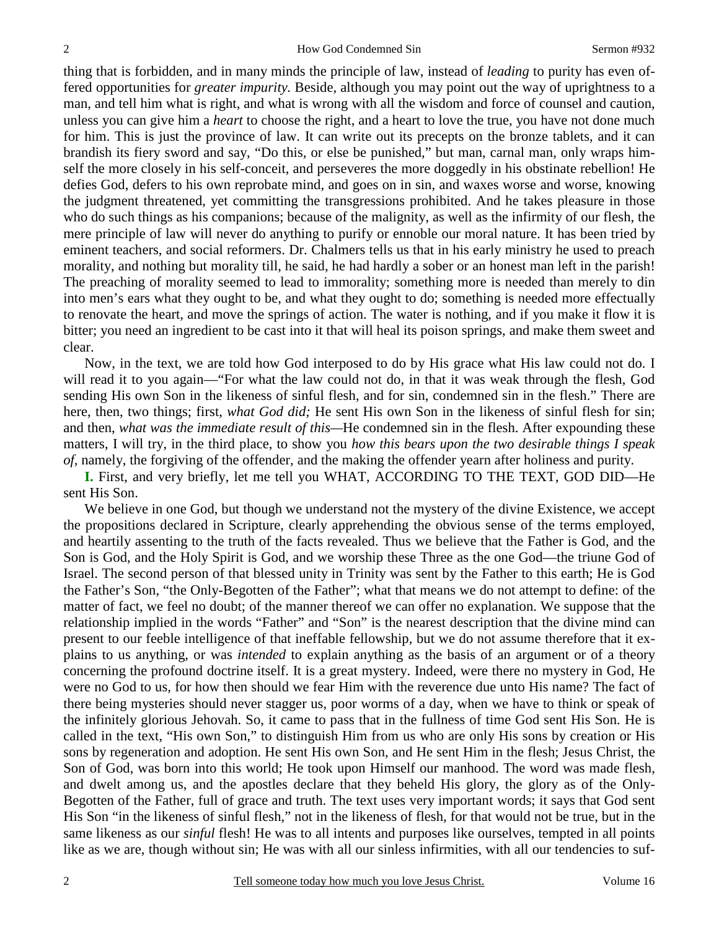thing that is forbidden, and in many minds the principle of law, instead of *leading* to purity has even offered opportunities for *greater impurity.* Beside, although you may point out the way of uprightness to a man, and tell him what is right, and what is wrong with all the wisdom and force of counsel and caution, unless you can give him a *heart* to choose the right, and a heart to love the true, you have not done much for him. This is just the province of law. It can write out its precepts on the bronze tablets, and it can brandish its fiery sword and say, "Do this, or else be punished," but man, carnal man, only wraps himself the more closely in his self-conceit, and perseveres the more doggedly in his obstinate rebellion! He defies God, defers to his own reprobate mind, and goes on in sin, and waxes worse and worse, knowing the judgment threatened, yet committing the transgressions prohibited. And he takes pleasure in those who do such things as his companions; because of the malignity, as well as the infirmity of our flesh, the mere principle of law will never do anything to purify or ennoble our moral nature. It has been tried by eminent teachers, and social reformers. Dr. Chalmers tells us that in his early ministry he used to preach morality, and nothing but morality till, he said, he had hardly a sober or an honest man left in the parish! The preaching of morality seemed to lead to immorality; something more is needed than merely to din into men's ears what they ought to be, and what they ought to do; something is needed more effectually to renovate the heart, and move the springs of action. The water is nothing, and if you make it flow it is bitter; you need an ingredient to be cast into it that will heal its poison springs, and make them sweet and clear.

Now, in the text, we are told how God interposed to do by His grace what His law could not do. I will read it to you again—"For what the law could not do, in that it was weak through the flesh, God sending His own Son in the likeness of sinful flesh, and for sin, condemned sin in the flesh." There are here, then, two things; first, *what God did;* He sent His own Son in the likeness of sinful flesh for sin; and then, *what was the immediate result of this—*He condemned sin in the flesh. After expounding these matters, I will try, in the third place, to show you *how this bears upon the two desirable things I speak of,* namely, the forgiving of the offender, and the making the offender yearn after holiness and purity.

**I.** First, and very briefly, let me tell you WHAT, ACCORDING TO THE TEXT, GOD DID—He sent His Son.

We believe in one God, but though we understand not the mystery of the divine Existence, we accept the propositions declared in Scripture, clearly apprehending the obvious sense of the terms employed, and heartily assenting to the truth of the facts revealed. Thus we believe that the Father is God, and the Son is God, and the Holy Spirit is God, and we worship these Three as the one God—the triune God of Israel. The second person of that blessed unity in Trinity was sent by the Father to this earth; He is God the Father's Son, "the Only-Begotten of the Father"; what that means we do not attempt to define: of the matter of fact, we feel no doubt; of the manner thereof we can offer no explanation. We suppose that the relationship implied in the words "Father" and "Son" is the nearest description that the divine mind can present to our feeble intelligence of that ineffable fellowship, but we do not assume therefore that it explains to us anything, or was *intended* to explain anything as the basis of an argument or of a theory concerning the profound doctrine itself. It is a great mystery. Indeed, were there no mystery in God, He were no God to us, for how then should we fear Him with the reverence due unto His name? The fact of there being mysteries should never stagger us, poor worms of a day, when we have to think or speak of the infinitely glorious Jehovah. So, it came to pass that in the fullness of time God sent His Son. He is called in the text, "His own Son," to distinguish Him from us who are only His sons by creation or His sons by regeneration and adoption. He sent His own Son, and He sent Him in the flesh; Jesus Christ, the Son of God, was born into this world; He took upon Himself our manhood. The word was made flesh, and dwelt among us, and the apostles declare that they beheld His glory, the glory as of the Only-Begotten of the Father, full of grace and truth. The text uses very important words; it says that God sent His Son "in the likeness of sinful flesh," not in the likeness of flesh, for that would not be true, but in the same likeness as our *sinful* flesh! He was to all intents and purposes like ourselves, tempted in all points like as we are, though without sin; He was with all our sinless infirmities, with all our tendencies to suf-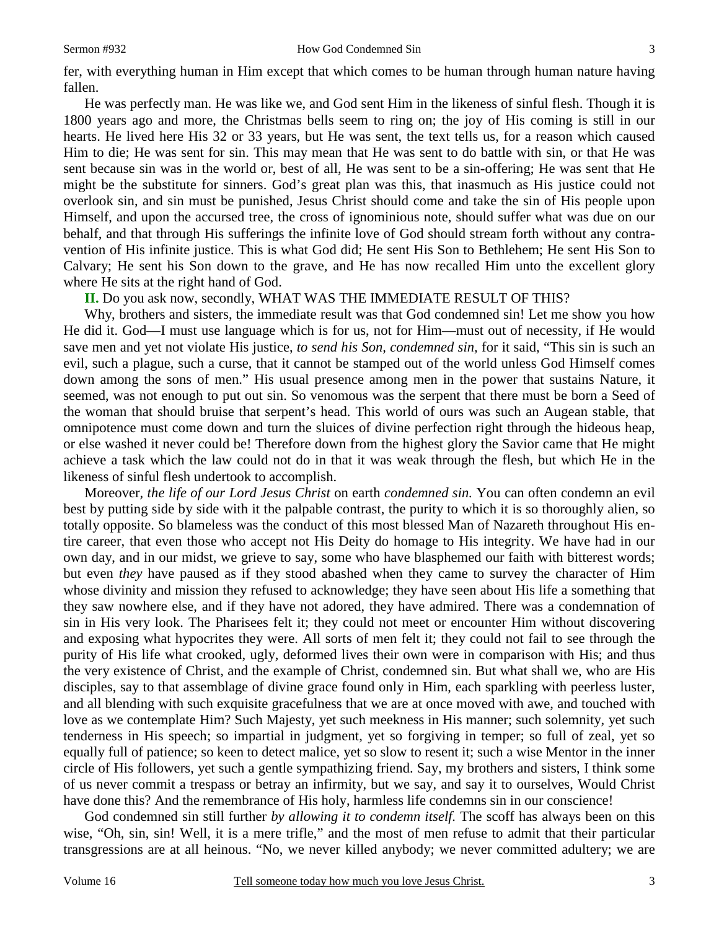He was perfectly man. He was like we, and God sent Him in the likeness of sinful flesh. Though it is 1800 years ago and more, the Christmas bells seem to ring on; the joy of His coming is still in our hearts. He lived here His 32 or 33 years, but He was sent, the text tells us, for a reason which caused Him to die; He was sent for sin. This may mean that He was sent to do battle with sin, or that He was sent because sin was in the world or, best of all, He was sent to be a sin-offering; He was sent that He might be the substitute for sinners. God's great plan was this, that inasmuch as His justice could not overlook sin, and sin must be punished, Jesus Christ should come and take the sin of His people upon Himself, and upon the accursed tree, the cross of ignominious note, should suffer what was due on our behalf, and that through His sufferings the infinite love of God should stream forth without any contravention of His infinite justice. This is what God did; He sent His Son to Bethlehem; He sent His Son to Calvary; He sent his Son down to the grave, and He has now recalled Him unto the excellent glory where He sits at the right hand of God.

**II.** Do you ask now, secondly, WHAT WAS THE IMMEDIATE RESULT OF THIS?

Why, brothers and sisters, the immediate result was that God condemned sin! Let me show you how He did it. God—I must use language which is for us, not for Him—must out of necessity, if He would save men and yet not violate His justice, *to send his Son, condemned sin,* for it said, "This sin is such an evil, such a plague, such a curse, that it cannot be stamped out of the world unless God Himself comes down among the sons of men." His usual presence among men in the power that sustains Nature, it seemed, was not enough to put out sin. So venomous was the serpent that there must be born a Seed of the woman that should bruise that serpent's head. This world of ours was such an Augean stable, that omnipotence must come down and turn the sluices of divine perfection right through the hideous heap, or else washed it never could be! Therefore down from the highest glory the Savior came that He might achieve a task which the law could not do in that it was weak through the flesh, but which He in the likeness of sinful flesh undertook to accomplish.

Moreover*, the life of our Lord Jesus Christ* on earth *condemned sin.* You can often condemn an evil best by putting side by side with it the palpable contrast, the purity to which it is so thoroughly alien, so totally opposite. So blameless was the conduct of this most blessed Man of Nazareth throughout His entire career, that even those who accept not His Deity do homage to His integrity. We have had in our own day, and in our midst, we grieve to say, some who have blasphemed our faith with bitterest words; but even *they* have paused as if they stood abashed when they came to survey the character of Him whose divinity and mission they refused to acknowledge; they have seen about His life a something that they saw nowhere else, and if they have not adored, they have admired. There was a condemnation of sin in His very look. The Pharisees felt it; they could not meet or encounter Him without discovering and exposing what hypocrites they were. All sorts of men felt it; they could not fail to see through the purity of His life what crooked, ugly, deformed lives their own were in comparison with His; and thus the very existence of Christ, and the example of Christ, condemned sin. But what shall we, who are His disciples, say to that assemblage of divine grace found only in Him, each sparkling with peerless luster, and all blending with such exquisite gracefulness that we are at once moved with awe, and touched with love as we contemplate Him? Such Majesty, yet such meekness in His manner; such solemnity, yet such tenderness in His speech; so impartial in judgment, yet so forgiving in temper; so full of zeal, yet so equally full of patience; so keen to detect malice, yet so slow to resent it; such a wise Mentor in the inner circle of His followers, yet such a gentle sympathizing friend. Say, my brothers and sisters, I think some of us never commit a trespass or betray an infirmity, but we say, and say it to ourselves, Would Christ have done this? And the remembrance of His holy, harmless life condemns sin in our conscience!

God condemned sin still further *by allowing it to condemn itself.* The scoff has always been on this wise, "Oh, sin, sin! Well, it is a mere trifle," and the most of men refuse to admit that their particular transgressions are at all heinous. "No, we never killed anybody; we never committed adultery; we are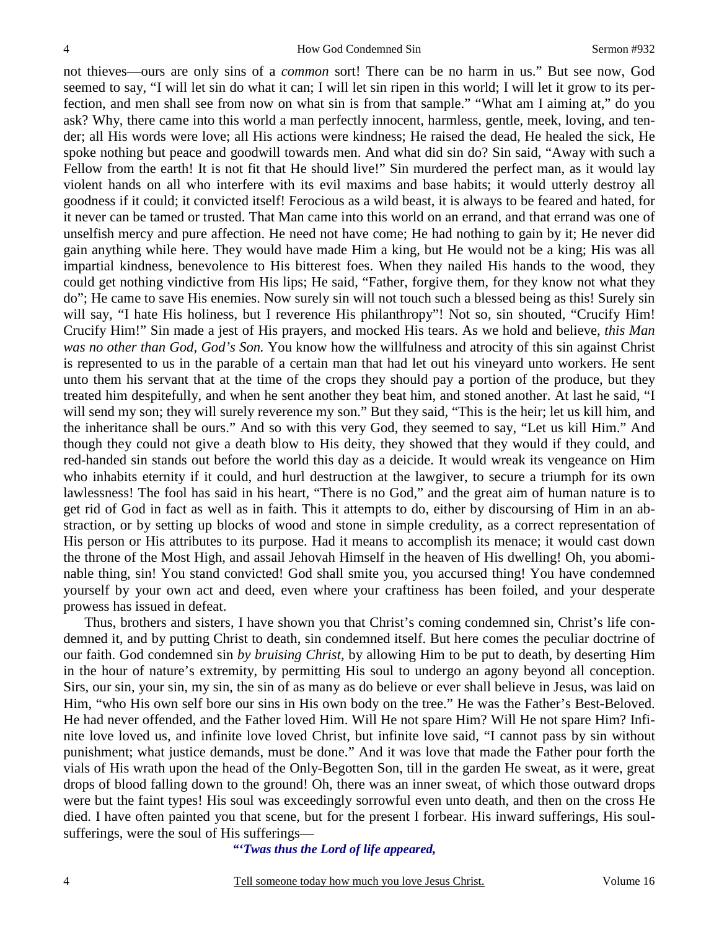not thieves—ours are only sins of a *common* sort! There can be no harm in us." But see now, God seemed to say, "I will let sin do what it can; I will let sin ripen in this world; I will let it grow to its perfection, and men shall see from now on what sin is from that sample." "What am I aiming at," do you ask? Why, there came into this world a man perfectly innocent, harmless, gentle, meek, loving, and tender; all His words were love; all His actions were kindness; He raised the dead, He healed the sick, He spoke nothing but peace and goodwill towards men. And what did sin do? Sin said, "Away with such a Fellow from the earth! It is not fit that He should live!" Sin murdered the perfect man, as it would lay violent hands on all who interfere with its evil maxims and base habits; it would utterly destroy all goodness if it could; it convicted itself! Ferocious as a wild beast, it is always to be feared and hated, for it never can be tamed or trusted. That Man came into this world on an errand, and that errand was one of unselfish mercy and pure affection. He need not have come; He had nothing to gain by it; He never did gain anything while here. They would have made Him a king, but He would not be a king; His was all impartial kindness, benevolence to His bitterest foes. When they nailed His hands to the wood, they could get nothing vindictive from His lips; He said, "Father, forgive them, for they know not what they do"; He came to save His enemies. Now surely sin will not touch such a blessed being as this! Surely sin will say, "I hate His holiness, but I reverence His philanthropy"! Not so, sin shouted, "Crucify Him! Crucify Him!" Sin made a jest of His prayers, and mocked His tears. As we hold and believe, *this Man was no other than God, God's Son.* You know how the willfulness and atrocity of this sin against Christ is represented to us in the parable of a certain man that had let out his vineyard unto workers. He sent unto them his servant that at the time of the crops they should pay a portion of the produce, but they treated him despitefully, and when he sent another they beat him, and stoned another. At last he said, "I will send my son; they will surely reverence my son." But they said, "This is the heir; let us kill him, and the inheritance shall be ours." And so with this very God, they seemed to say, "Let us kill Him." And though they could not give a death blow to His deity, they showed that they would if they could, and red-handed sin stands out before the world this day as a deicide. It would wreak its vengeance on Him who inhabits eternity if it could, and hurl destruction at the lawgiver, to secure a triumph for its own lawlessness! The fool has said in his heart, "There is no God," and the great aim of human nature is to get rid of God in fact as well as in faith. This it attempts to do, either by discoursing of Him in an abstraction, or by setting up blocks of wood and stone in simple credulity, as a correct representation of His person or His attributes to its purpose. Had it means to accomplish its menace; it would cast down the throne of the Most High, and assail Jehovah Himself in the heaven of His dwelling! Oh, you abominable thing, sin! You stand convicted! God shall smite you, you accursed thing! You have condemned yourself by your own act and deed, even where your craftiness has been foiled, and your desperate prowess has issued in defeat.

Thus, brothers and sisters, I have shown you that Christ's coming condemned sin, Christ's life condemned it, and by putting Christ to death, sin condemned itself. But here comes the peculiar doctrine of our faith. God condemned sin *by bruising Christ,* by allowing Him to be put to death, by deserting Him in the hour of nature's extremity, by permitting His soul to undergo an agony beyond all conception. Sirs, our sin, your sin, my sin, the sin of as many as do believe or ever shall believe in Jesus, was laid on Him, "who His own self bore our sins in His own body on the tree." He was the Father's Best-Beloved. He had never offended, and the Father loved Him. Will He not spare Him? Will He not spare Him? Infinite love loved us, and infinite love loved Christ, but infinite love said, "I cannot pass by sin without punishment; what justice demands, must be done." And it was love that made the Father pour forth the vials of His wrath upon the head of the Only-Begotten Son, till in the garden He sweat, as it were, great drops of blood falling down to the ground! Oh, there was an inner sweat, of which those outward drops were but the faint types! His soul was exceedingly sorrowful even unto death, and then on the cross He died. I have often painted you that scene, but for the present I forbear. His inward sufferings, His soulsufferings, were the soul of His sufferings—

## *"'Twas thus the Lord of life appeared,*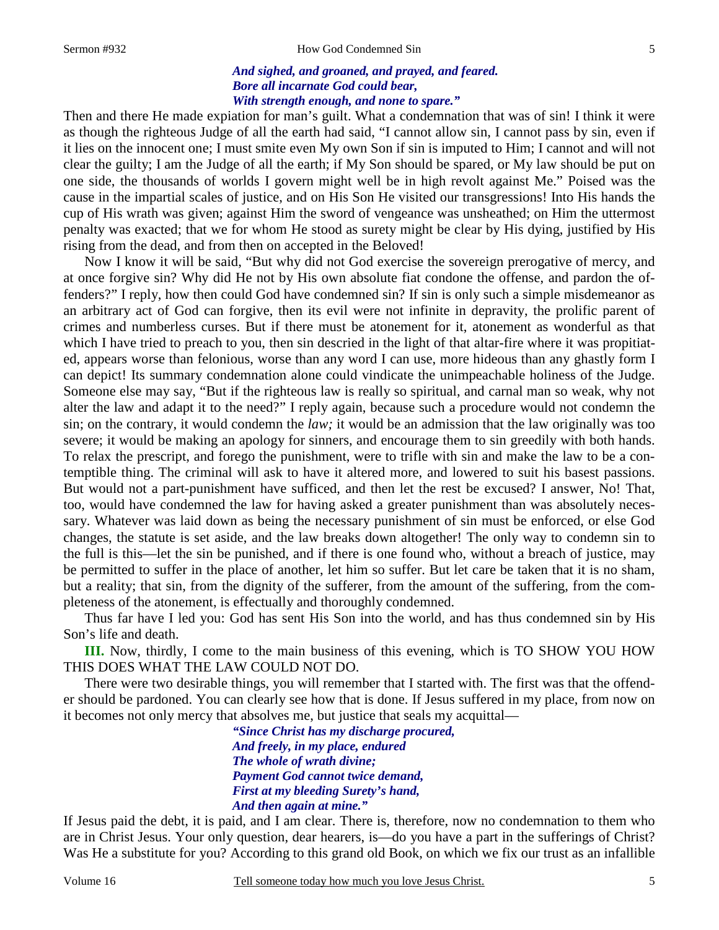#### Sermon #932 **How God Condemned Sin**

### *And sighed, and groaned, and prayed, and feared. Bore all incarnate God could bear, With strength enough, and none to spare."*

Then and there He made expiation for man's guilt. What a condemnation that was of sin! I think it were as though the righteous Judge of all the earth had said, "I cannot allow sin, I cannot pass by sin, even if it lies on the innocent one; I must smite even My own Son if sin is imputed to Him; I cannot and will not clear the guilty; I am the Judge of all the earth; if My Son should be spared, or My law should be put on one side, the thousands of worlds I govern might well be in high revolt against Me." Poised was the cause in the impartial scales of justice, and on His Son He visited our transgressions! Into His hands the cup of His wrath was given; against Him the sword of vengeance was unsheathed; on Him the uttermost penalty was exacted; that we for whom He stood as surety might be clear by His dying, justified by His rising from the dead, and from then on accepted in the Beloved!

Now I know it will be said, "But why did not God exercise the sovereign prerogative of mercy, and at once forgive sin? Why did He not by His own absolute fiat condone the offense, and pardon the offenders?" I reply, how then could God have condemned sin? If sin is only such a simple misdemeanor as an arbitrary act of God can forgive, then its evil were not infinite in depravity, the prolific parent of crimes and numberless curses. But if there must be atonement for it, atonement as wonderful as that which I have tried to preach to you, then sin descried in the light of that altar-fire where it was propitiated, appears worse than felonious, worse than any word I can use, more hideous than any ghastly form I can depict! Its summary condemnation alone could vindicate the unimpeachable holiness of the Judge. Someone else may say, "But if the righteous law is really so spiritual, and carnal man so weak, why not alter the law and adapt it to the need?" I reply again, because such a procedure would not condemn the sin; on the contrary, it would condemn the *law;* it would be an admission that the law originally was too severe; it would be making an apology for sinners, and encourage them to sin greedily with both hands. To relax the prescript, and forego the punishment, were to trifle with sin and make the law to be a contemptible thing. The criminal will ask to have it altered more, and lowered to suit his basest passions. But would not a part-punishment have sufficed, and then let the rest be excused? I answer, No! That, too, would have condemned the law for having asked a greater punishment than was absolutely necessary. Whatever was laid down as being the necessary punishment of sin must be enforced, or else God changes, the statute is set aside, and the law breaks down altogether! The only way to condemn sin to the full is this—let the sin be punished, and if there is one found who, without a breach of justice, may be permitted to suffer in the place of another, let him so suffer. But let care be taken that it is no sham, but a reality; that sin, from the dignity of the sufferer, from the amount of the suffering, from the completeness of the atonement, is effectually and thoroughly condemned.

Thus far have I led you: God has sent His Son into the world, and has thus condemned sin by His Son's life and death.

**III.** Now, thirdly, I come to the main business of this evening, which is TO SHOW YOU HOW THIS DOES WHAT THE LAW COULD NOT DO.

There were two desirable things, you will remember that I started with. The first was that the offender should be pardoned. You can clearly see how that is done. If Jesus suffered in my place, from now on it becomes not only mercy that absolves me, but justice that seals my acquittal—

> *"Since Christ has my discharge procured, And freely, in my place, endured The whole of wrath divine; Payment God cannot twice demand, First at my bleeding Surety's hand, And then again at mine."*

If Jesus paid the debt, it is paid, and I am clear. There is, therefore, now no condemnation to them who are in Christ Jesus. Your only question, dear hearers, is—do you have a part in the sufferings of Christ? Was He a substitute for you? According to this grand old Book, on which we fix our trust as an infallible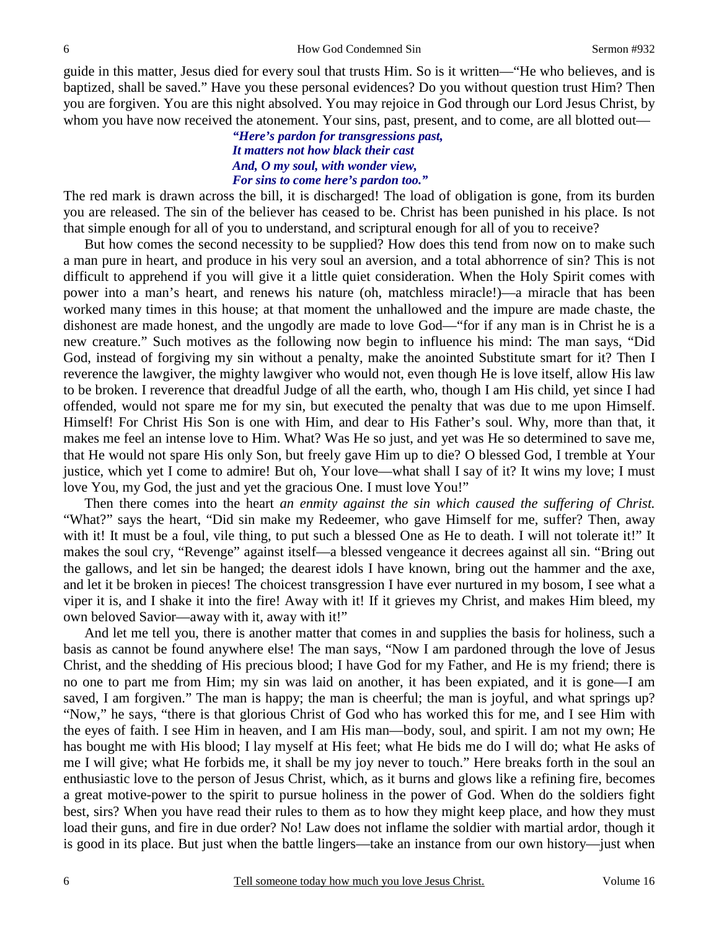guide in this matter, Jesus died for every soul that trusts Him. So is it written—"He who believes, and is baptized, shall be saved." Have you these personal evidences? Do you without question trust Him? Then you are forgiven. You are this night absolved. You may rejoice in God through our Lord Jesus Christ, by whom you have now received the atonement. Your sins, past, present, and to come, are all blotted out—

## *"Here's pardon for transgressions past, It matters not how black their cast And, O my soul, with wonder view, For sins to come here's pardon too."*

The red mark is drawn across the bill, it is discharged! The load of obligation is gone, from its burden you are released. The sin of the believer has ceased to be. Christ has been punished in his place. Is not that simple enough for all of you to understand, and scriptural enough for all of you to receive?

But how comes the second necessity to be supplied? How does this tend from now on to make such a man pure in heart, and produce in his very soul an aversion, and a total abhorrence of sin? This is not difficult to apprehend if you will give it a little quiet consideration. When the Holy Spirit comes with power into a man's heart, and renews his nature (oh, matchless miracle!)—a miracle that has been worked many times in this house; at that moment the unhallowed and the impure are made chaste, the dishonest are made honest, and the ungodly are made to love God—"for if any man is in Christ he is a new creature." Such motives as the following now begin to influence his mind: The man says, "Did God, instead of forgiving my sin without a penalty, make the anointed Substitute smart for it? Then I reverence the lawgiver, the mighty lawgiver who would not, even though He is love itself, allow His law to be broken. I reverence that dreadful Judge of all the earth, who, though I am His child, yet since I had offended, would not spare me for my sin, but executed the penalty that was due to me upon Himself. Himself! For Christ His Son is one with Him, and dear to His Father's soul. Why, more than that, it makes me feel an intense love to Him. What? Was He so just, and yet was He so determined to save me, that He would not spare His only Son, but freely gave Him up to die? O blessed God, I tremble at Your justice, which yet I come to admire! But oh, Your love—what shall I say of it? It wins my love; I must love You, my God, the just and yet the gracious One. I must love You!"

Then there comes into the heart *an enmity against the sin which caused the suffering of Christ.*  "What?" says the heart, "Did sin make my Redeemer, who gave Himself for me, suffer? Then, away with it! It must be a foul, vile thing, to put such a blessed One as He to death. I will not tolerate it!" It makes the soul cry, "Revenge" against itself—a blessed vengeance it decrees against all sin. "Bring out the gallows, and let sin be hanged; the dearest idols I have known, bring out the hammer and the axe, and let it be broken in pieces! The choicest transgression I have ever nurtured in my bosom, I see what a viper it is, and I shake it into the fire! Away with it! If it grieves my Christ, and makes Him bleed, my own beloved Savior—away with it, away with it!"

And let me tell you, there is another matter that comes in and supplies the basis for holiness, such a basis as cannot be found anywhere else! The man says, "Now I am pardoned through the love of Jesus Christ, and the shedding of His precious blood; I have God for my Father, and He is my friend; there is no one to part me from Him; my sin was laid on another, it has been expiated, and it is gone—I am saved, I am forgiven." The man is happy; the man is cheerful; the man is joyful, and what springs up? "Now," he says, "there is that glorious Christ of God who has worked this for me, and I see Him with the eyes of faith. I see Him in heaven, and I am His man—body, soul, and spirit. I am not my own; He has bought me with His blood; I lay myself at His feet; what He bids me do I will do; what He asks of me I will give; what He forbids me, it shall be my joy never to touch." Here breaks forth in the soul an enthusiastic love to the person of Jesus Christ, which, as it burns and glows like a refining fire, becomes a great motive-power to the spirit to pursue holiness in the power of God. When do the soldiers fight best, sirs? When you have read their rules to them as to how they might keep place, and how they must load their guns, and fire in due order? No! Law does not inflame the soldier with martial ardor, though it is good in its place. But just when the battle lingers—take an instance from our own history—just when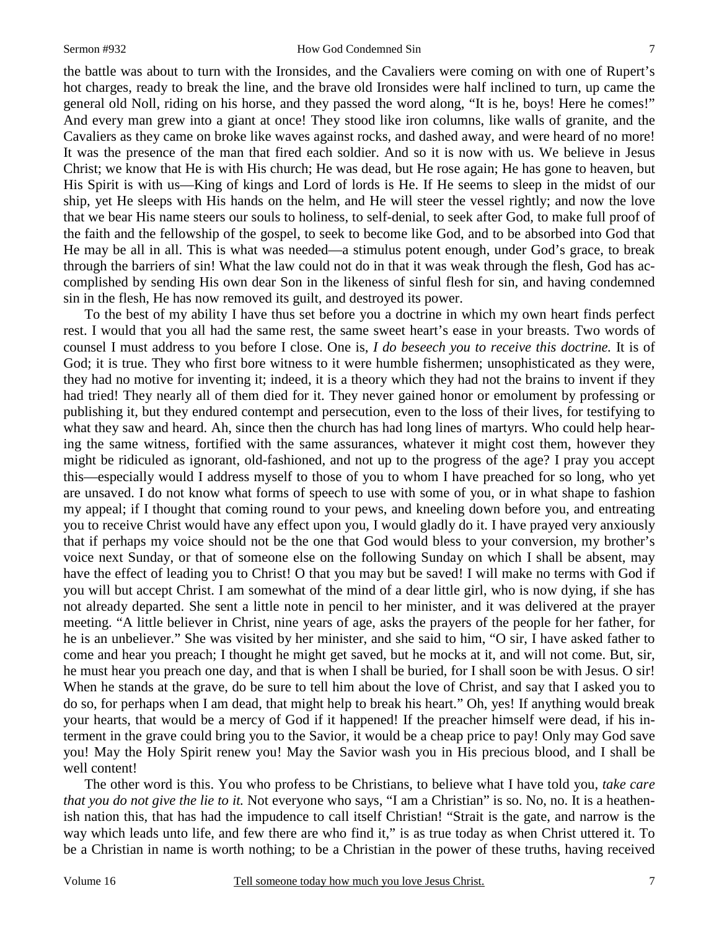#### Sermon #932 How God Condemned Sin

the battle was about to turn with the Ironsides, and the Cavaliers were coming on with one of Rupert's hot charges, ready to break the line, and the brave old Ironsides were half inclined to turn, up came the general old Noll, riding on his horse, and they passed the word along, "It is he, boys! Here he comes!" And every man grew into a giant at once! They stood like iron columns, like walls of granite, and the Cavaliers as they came on broke like waves against rocks, and dashed away, and were heard of no more! It was the presence of the man that fired each soldier. And so it is now with us. We believe in Jesus Christ; we know that He is with His church; He was dead, but He rose again; He has gone to heaven, but His Spirit is with us—King of kings and Lord of lords is He. If He seems to sleep in the midst of our ship, yet He sleeps with His hands on the helm, and He will steer the vessel rightly; and now the love that we bear His name steers our souls to holiness, to self-denial, to seek after God, to make full proof of the faith and the fellowship of the gospel, to seek to become like God, and to be absorbed into God that He may be all in all. This is what was needed—a stimulus potent enough, under God's grace, to break through the barriers of sin! What the law could not do in that it was weak through the flesh, God has accomplished by sending His own dear Son in the likeness of sinful flesh for sin, and having condemned sin in the flesh, He has now removed its guilt, and destroyed its power.

To the best of my ability I have thus set before you a doctrine in which my own heart finds perfect rest. I would that you all had the same rest, the same sweet heart's ease in your breasts. Two words of counsel I must address to you before I close. One is, *I do beseech you to receive this doctrine.* It is of God; it is true. They who first bore witness to it were humble fishermen; unsophisticated as they were, they had no motive for inventing it; indeed, it is a theory which they had not the brains to invent if they had tried! They nearly all of them died for it. They never gained honor or emolument by professing or publishing it, but they endured contempt and persecution, even to the loss of their lives, for testifying to what they saw and heard. Ah, since then the church has had long lines of martyrs. Who could help hearing the same witness, fortified with the same assurances, whatever it might cost them, however they might be ridiculed as ignorant, old-fashioned, and not up to the progress of the age? I pray you accept this—especially would I address myself to those of you to whom I have preached for so long, who yet are unsaved. I do not know what forms of speech to use with some of you, or in what shape to fashion my appeal; if I thought that coming round to your pews, and kneeling down before you, and entreating you to receive Christ would have any effect upon you, I would gladly do it. I have prayed very anxiously that if perhaps my voice should not be the one that God would bless to your conversion, my brother's voice next Sunday, or that of someone else on the following Sunday on which I shall be absent, may have the effect of leading you to Christ! O that you may but be saved! I will make no terms with God if you will but accept Christ. I am somewhat of the mind of a dear little girl, who is now dying, if she has not already departed. She sent a little note in pencil to her minister, and it was delivered at the prayer meeting. "A little believer in Christ, nine years of age, asks the prayers of the people for her father, for he is an unbeliever." She was visited by her minister, and she said to him, "O sir, I have asked father to come and hear you preach; I thought he might get saved, but he mocks at it, and will not come. But, sir, he must hear you preach one day, and that is when I shall be buried, for I shall soon be with Jesus. O sir! When he stands at the grave, do be sure to tell him about the love of Christ, and say that I asked you to do so, for perhaps when I am dead, that might help to break his heart." Oh, yes! If anything would break your hearts, that would be a mercy of God if it happened! If the preacher himself were dead, if his interment in the grave could bring you to the Savior, it would be a cheap price to pay! Only may God save you! May the Holy Spirit renew you! May the Savior wash you in His precious blood, and I shall be well content!

The other word is this. You who profess to be Christians, to believe what I have told you, *take care that you do not give the lie to it.* Not everyone who says, "I am a Christian" is so. No, no. It is a heathenish nation this, that has had the impudence to call itself Christian! "Strait is the gate, and narrow is the way which leads unto life, and few there are who find it," is as true today as when Christ uttered it. To be a Christian in name is worth nothing; to be a Christian in the power of these truths, having received